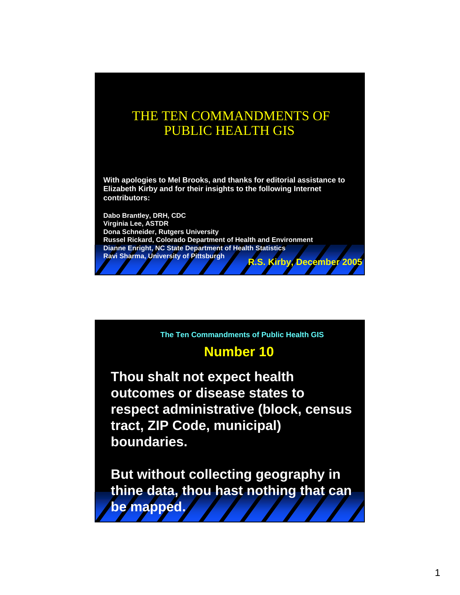## THE TEN COMMANDMENTS OF PUBLIC HEALTH GIS

**With apologies to Mel Brooks, and thanks for editorial assistance to Elizabeth Kirby and for their insights to the following Internet contributors:** 

**Dabo Brantley, DRH, CDC Virginia Lee, ASTDR Dona Schneider, Rutgers University Russel Rickard, Colorado Department of Health and Environment Dianne Enright, NC State Department of Health Statistics Ravi Sharma, University of Pittsburgh R.S. Kirby, December 2005**

**The Ten Commandments of Public Health GIS**

## **Number 10**

**Thou shalt not expect health outcomes or disease states to respect administrative (block, census tract, ZIP Code, municipal) boundaries.**

**But without collecting geography in thine data, thou hast nothing that can be mapped.**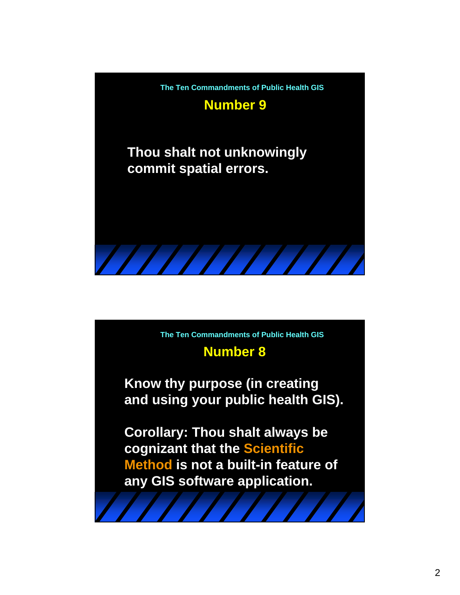

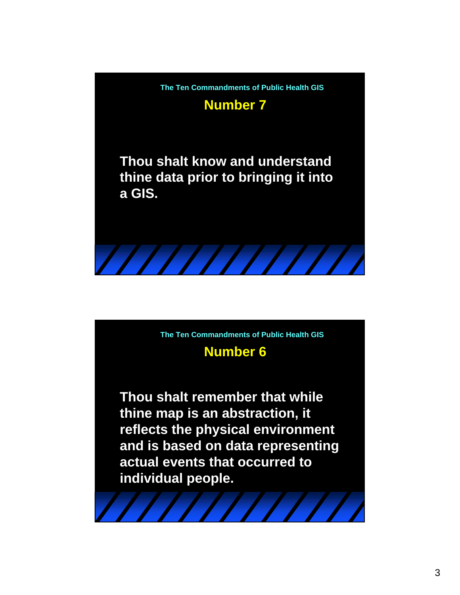

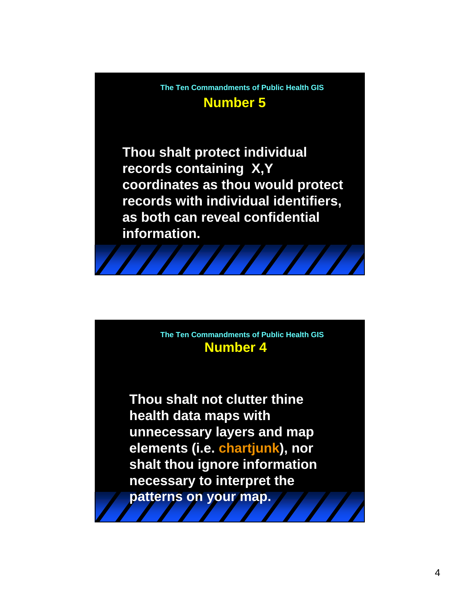**Number 5 The Ten Commandments of Public Health GIS**

**Thou shalt protect individual records containing X,Y coordinates as thou would protect records with individual identifiers, as both can reveal confidential information.**



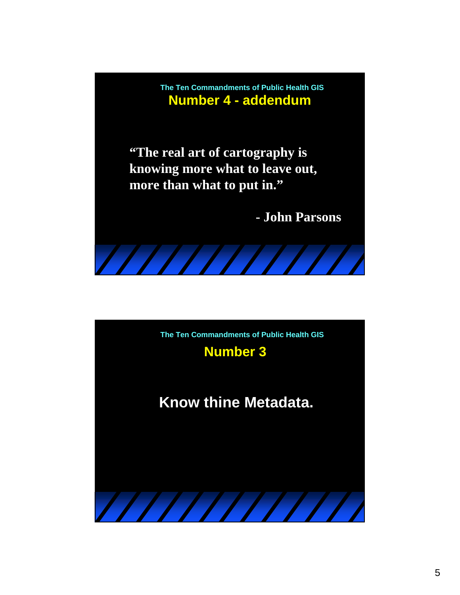**Number 4 - addendum The Ten Commandments of Public Health GIS**

**"The real art of cartography is knowing more what to leave out, more than what to put in."**

**- John Parsons**